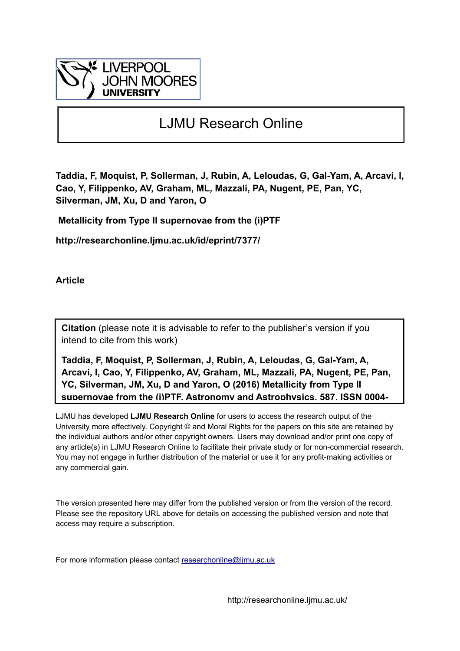

# LJMU Research Online

**Taddia, F, Moquist, P, Sollerman, J, Rubin, A, Leloudas, G, Gal-Yam, A, Arcavi, I, Cao, Y, Filippenko, AV, Graham, ML, Mazzali, PA, Nugent, PE, Pan, YC, Silverman, JM, Xu, D and Yaron, O**

 **Metallicity from Type II supernovae from the (i)PTF**

**http://researchonline.ljmu.ac.uk/id/eprint/7377/**

**Article**

**Citation** (please note it is advisable to refer to the publisher's version if you intend to cite from this work)

**Taddia, F, Moquist, P, Sollerman, J, Rubin, A, Leloudas, G, Gal-Yam, A, Arcavi, I, Cao, Y, Filippenko, AV, Graham, ML, Mazzali, PA, Nugent, PE, Pan, YC, Silverman, JM, Xu, D and Yaron, O (2016) Metallicity from Type II supernovae from the (i)PTF. Astronomy and Astrophysics, 587. ISSN 0004-**

LJMU has developed **[LJMU Research Online](http://researchonline.ljmu.ac.uk/)** for users to access the research output of the University more effectively. Copyright © and Moral Rights for the papers on this site are retained by the individual authors and/or other copyright owners. Users may download and/or print one copy of any article(s) in LJMU Research Online to facilitate their private study or for non-commercial research. You may not engage in further distribution of the material or use it for any profit-making activities or any commercial gain.

The version presented here may differ from the published version or from the version of the record. Please see the repository URL above for details on accessing the published version and note that access may require a subscription.

For more information please contact researchonline@limu.ac.uk

http://researchonline.ljmu.ac.uk/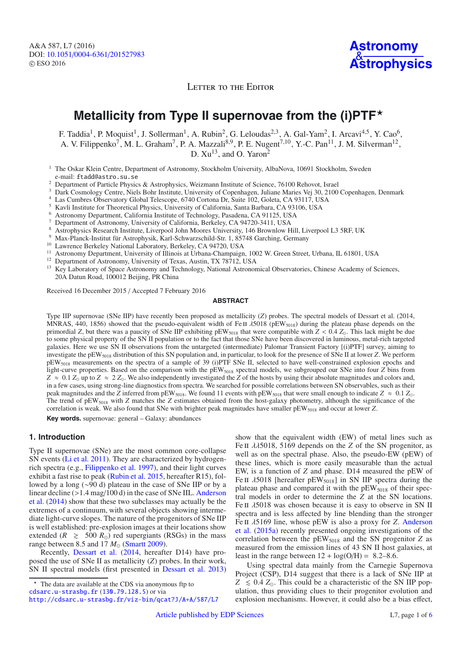LETTER TO THE EDITOR

# **Metallicity from Type II supernovae from the (i)PTF**-

F. Taddia<sup>1</sup>, P. Moquist<sup>1</sup>, J. Sollerman<sup>1</sup>, A. Rubin<sup>2</sup>, G. Leloudas<sup>2,3</sup>, A. Gal-Yam<sup>2</sup>, I. Arcavi<sup>4,5</sup>, Y. Cao<sup>6</sup>, A. V. Filippenko<sup>7</sup>, M. L. Graham<sup>7</sup>, P. A. Mazzali<sup>8,9</sup>, P. E. Nugent<sup>7,10</sup>, Y.-C. Pan<sup>11</sup>, J. M. Silverman<sup>12</sup>, D.  $Xu^{13}$ , and O. Yaron<sup>2</sup>

<sup>1</sup> The Oskar Klein Centre, Department of Astronomy, Stockholm University, AlbaNova, 10691 Stockholm, Sweden e-mail: ftadd@astro.su.se

<sup>2</sup> Department of Particle Physics & Astrophysics, Weizmann Institute of Science, 76100 Rehovot, Israel

<sup>3</sup> Dark Cosmology Centre, Niels Bohr Institute, University of Copenhagen, Juliane Maries Vej 30, 2100 Copenhagen, Denmark

<sup>4</sup> Las Cumbres Observatory Global Telescope, 6740 Cortona Dr, Suite 102, Goleta, CA 93117, USA

<sup>5</sup> Kavli Institute for Theoretical Physics, University of California, Santa Barbara, CA 93106, USA

- <sup>6</sup> Astronomy Department, California Institute of Technology, Pasadena, CA 91125, USA
- <sup>7</sup> Department of Astronomy, University of California, Berkeley, CA 94720-3411, USA
- <sup>8</sup> Astrophysics Research Institute, Liverpool John Moores University, 146 Brownlow Hill, Liverpool L3 5RF, UK
- <sup>9</sup> Max-Planck-Institut für Astrophysik, Karl-Schwarzschild-Str. 1, 85748 Garching, Germany
- <sup>10</sup> Lawrence Berkeley National Laboratory, Berkeley, CA 94720, USA
- <sup>11</sup> Astronomy Department, University of Illinois at Urbana-Champaign, 1002 W. Green Street, Urbana, IL 61801, USA
- <sup>12</sup> Department of Astronomy, University of Texas, Austin, TX 78712, USA<br><sup>13</sup> Key Laboratory of Space Astronomy and Technology, National Astronom
- <sup>13</sup> Key Laboratory of Space Astronomy and Technology, National Astronomical Observatories, Chinese Academy of Sciences, 20A Datun Road, 100012 Beijing, PR China

Received 16 December 2015 / Accepted 7 February 2016

#### **ABSTRACT**

Type IIP supernovae (SNe IIP) have recently been proposed as metallicity (*Z*) probes. The spectral models of Dessart et al. (2014, MNRAS, 440, 1856) showed that the pseudo-equivalent width of Fe II  $\lambda$ 5018 (pEW<sub>5018</sub>) during the plateau phase depends on the primordial *Z*, but there was a paucity of SNe IIP exhibiting pEW<sub>5018</sub> that were compatible with  $Z < 0.4 Z_{\odot}$ . This lack might be due to some physical property of the SN II population or to the fact that those SNe have been discovered in luminous, metal-rich targeted galaxies. Here we use SN II observations from the untargeted (intermediate) Palomar Transient Factory [(i)PTF] survey, aiming to investigate the pEW<sub>5018</sub> distribution of this SN population and, in particular, to look for the presence of SNe II at lower *Z*. We perform pEW5018 measurements on the spectra of a sample of 39 (i)PTF SNe II, selected to have well-constrained explosion epochs and light-curve properties. Based on the comparison with the pEW<sub>5018</sub> spectral models, we subgrouped our SNe into four *Z* bins from  $Z \approx 0.1 Z_{\odot}$  up to  $Z \approx 2 Z_{\odot}$ . We also independently investigated the *Z* of the hosts by using their absolute magnitudes and colors and, in a few cases, using strong-line diagnostics from spectra. We searched for possible correlations between SN observables, such as their peak magnitudes and the  $\bar{Z}$  inferred from pEW<sub>5018</sub>. We found 11 events with pEW<sub>5018</sub> that were small enough to indicate  $Z \approx 0.1 Z_{\odot}$ . The trend of pEW<sub>5018</sub> with *Z* matches the *Z* estimates obtained from the host-galaxy photometry, although the significance of the correlation is weak. We also found that SNe with brighter peak magnitudes have smaller pEW5018 and occur at lower *Z*.

**Key words.** supernovae: general – Galaxy: abundances

## **1. Introduction**

Type II supernovae (SNe) are the most common core-collapse SN events [\(Li et al. 2011\)](#page-4-0). They are characterized by hydrogenrich spectra (e.g., [Filippenko et al. 1997\)](#page-4-1), and their light curves exhibit a fast rise to peak [\(Rubin et al. 2015,](#page-4-2) hereafter R15), followed by a long (∼90 d) plateau in the case of SNe IIP or by a linear decline (>1.4 mag/[100 d\) in the case of SNe IIL.](#page-4-3) Anderson et al. [\(2014](#page-4-3)) show that these two subclasses may actually be the extremes of a continuum, with several objects showing intermediate light-curve slopes. The nature of the progenitors of SNe IIP is well established: pre-explosion images at their locations show extended ( $R \ge 500 R_{\odot}$ ) red supergiants (RSGs) in the mass range between 8.5 and 17  $M_{\odot}$  [\(Smartt 2009\)](#page-4-4).

Recently, [Dessart et al.](#page-4-5) [\(2014,](#page-4-5) hereafter D14) have proposed the use of SNe II as metallicity (*Z*) probes. In their work, SN II spectral models (first presented in [Dessart et al. 2013](#page-4-6)) show that the equivalent width (EW) of metal lines such as Fe II  $\lambda\lambda$ 5018, 5169 depends on the *Z* of the SN progenitor, as well as on the spectral phase. Also, the pseudo-EW (pEW) of these lines, which is more easily measurable than the actual EW, is a function of *Z* and phase. D14 measured the pEW of Fe II  $\lambda$ 5018 [hereafter pEW<sub>5018</sub>] in SN IIP spectra during the plateau phase and compared it with the  $pEW<sub>5018</sub>$  of their spectral models in order to determine the *Z* at the SN locations. Fe II  $\lambda$ 5018 was chosen because it is easy to observe in SN II spectra and is less affected by line blending than the stronger Fe ii <sup>λ</sup>[5169 line, whose pEW is also a proxy for](#page-4-7) *<sup>Z</sup>*. Anderson et al. [\(2015a\)](#page-4-7) recently presented ongoing investigations of the correlation between the  $pEW<sub>5018</sub>$  and the SN progenitor *Z* as measured from the emission lines of 43 SN II host galaxies, at least in the range between  $12 + \log(O/H) = 8.2 - 8.6$ .

Using spectral data mainly from the Carnegie Supernova Project (CSP), D14 suggest that there is a lack of SNe IIP at  $Z \leq 0.4$  *Z*<sub> $\odot$ </sub>. This could be a characteristic of the SN IIP population, thus providing clues to their progenitor evolution and explosion mechanisms. However, it could also be a bias effect,

<sup>\*</sup> The data are available at the CDS via anonymous ftp to [cdsarc.u-strasbg.fr](http://cdsarc.u-strasbg.fr) ([130.79.128.5](ftp://130.79.128.5)) or via <http://cdsarc.u-strasbg.fr/viz-bin/qcat?J/A+A/587/L7>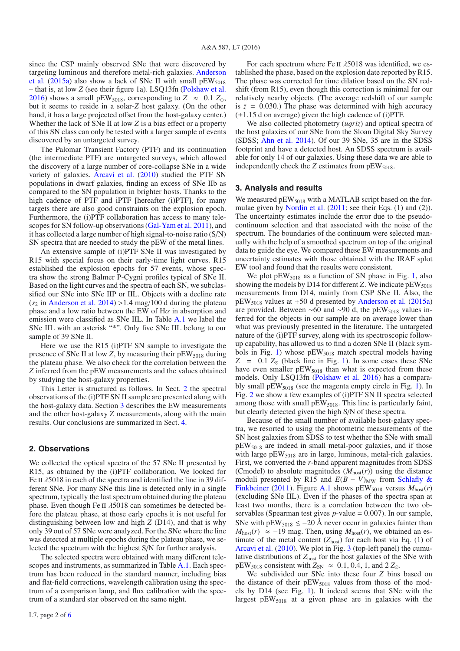since the CSP mainly observed SNe that were discovered by targe[ting luminous and therefore metal-rich galaxies.](#page-4-7) Anderson et al. [\(2015a\)](#page-4-7) also show a lack of SNe II with small  $pEW_{5018}$ – that is, at low *Z* (see their figure 1a). LSQ13fn [\(Polshaw et al.](#page-4-8) [2016\)](#page-4-8) shows a small pEW<sub>5018</sub>, corresponding to  $Z \approx 0.1 Z_{\odot}$ , but it seems to reside in a solar-*Z* host galaxy. (On the other hand, it has a large projected offset from the host-galaxy center.) Whether the lack of SNe II at low *Z* is a bias effect or a property of this SN class can only be tested with a larger sample of events discovered by an untargeted survey.

The Palomar Transient Factory (PTF) and its continuation (the intermediate PTF) are untargeted surveys, which allowed the discovery of a large number of core-collapse SNe in a wide variety of galaxies. [Arcavi et al.](#page-4-9) [\(2010](#page-4-9)) studied the PTF SN populations in dwarf galaxies, finding an excess of SNe IIb as compared to the SN population in brighter hosts. Thanks to the high cadence of PTF and iPTF [hereafter (i)PTF], for many targets there are also good constraints on the explosion epoch. Furthermore, the (i)PTF collaboration has access to many telescopes for SN follow-up observations [\(Gal-Yam et al. 2011](#page-4-10)), and it has collected a large number of high signal-to-noise ratio (S/N) SN spectra that are needed to study the pEW of the metal lines.

An extensive sample of (i)PTF SNe II was investigated by R15 with special focus on their early-time light curves. R15 established the explosion epochs for 57 events, whose spectra show the strong Balmer P-Cygni profiles typical of SNe II. Based on the light curves and the spectra of each SN, we subclassified our SNe into SNe IIP or IIL. Objects with a decline rate  $(s_2$  in [Anderson et al. 2014](#page-4-3)) > 1.4 mag/100 d during the plateau phase and a low ratio between the EW of H $\alpha$  in absorption and emission were classified as SNe IIL. In Table [A.1](#page-5-0) we label the SNe IIL with an asterisk "\*". Only five SNe IIL belong to our sample of 39 SNe II.

Here we use the R15 (i)PTF SN sample to investigate the presence of SNe II at low  $Z$ , by measuring their  $pEW<sub>5018</sub>$  during the plateau phase. We also check for the correlation between the *Z* inferred from the pEW measurements and the values obtained by studying the host-galaxy properties.

This Letter is structured as follows. In Sect. [2](#page-2-0) the spectral observations of the (i)PTF SN II sample are presented along with the host-galaxy data. Section [3](#page-2-1) describes the EW measurements and the other host-galaxy *Z* measurements, along with the main results. Our conclusions are summarized in Sect. [4.](#page-4-11)

### <span id="page-2-0"></span>**2. Observations**

We collected the optical spectra of the 57 SNe II presented by R15, as obtained by the (i)PTF collaboration. We looked for Fe II  $\lambda$ 5018 in each of the spectra and identified the line in 39 different SNe. For many SNe this line is detected only in a single spectrum, typically the last spectrum obtained during the plateau phase. Even though Fe II  $\lambda$ 5018 can sometimes be detected before the plateau phase, at those early epochs it is not useful for distinguishing between low and high *Z* (D14), and that is why only 39 out of 57 SNe were analyzed. For the SNe where the line was detected at multiple epochs during the plateau phase, we selected the spectrum with the highest S/N for further analysis.

The selected spectra were obtained with many different telescopes and instruments, as summarized in Table [A.1.](#page-5-0) Each spectrum has been reduced in the standard manner, including bias and flat-field corrections, wavelength calibration using the spectrum of a comparison lamp, and flux calibration with the spectrum of a standard star observed on the same night.

For each spectrum where Fe II  $\lambda$ 5018 was identified, we established the phase, based on the explosion date reported by R15. The phase was corrected for time dilation based on the SN redshift (from R15), even though this correction is minimal for our relatively nearby objects. (The average redshift of our sample is  $\bar{z}$  = 0.030.) The phase was determined with high accuracy  $(\pm 1.15 \text{ d})$  on average) given the high cadence of (i)PTF.

We also collected photometry (*u*g*riz*) and optical spectra of the host galaxies of our SNe from the Sloan Digital Sky Survey (SDSS; [Ahn et al. 2014\)](#page-4-12). Of our 39 SNe, 35 are in the SDSS footprint and have a detected host. An SDSS spectrum is available for only 14 of our galaxies. Using these data we are able to independently check the  $Z$  estimates from  $pEW<sub>5018</sub>$ .

### <span id="page-2-1"></span>**3. Analysis and results**

We measured pEW<sub>5018</sub> with a MATLAB script based on the formulae given by [Nordin et al.](#page-4-13) [\(2011;](#page-4-13) see their Eqs. (1) and (2)). The uncertainty estimates include the error due to the pseudocontinuum selection and that associated with the noise of the spectrum. The boundaries of the continuum were selected manually with the help of a smoothed spectrum on top of the original data to guide the eye. We compared these EW measurements and uncertainty estimates with those obtained with the IRAF splot EW tool and found that the results were consistent.

We plot pEW<sub>5018</sub> as a function of SN phase in Fig. [1,](#page-3-0) also showing the models by D14 for different *Z*. We indicate  $pEW_{5018}$ measurements from D14, mainly from CSP SNe II. Also, the  $pEW<sub>5018</sub>$  values at +50 d presented by [Anderson et al.](#page-4-7) [\(2015a](#page-4-7)) are provided. Between ∼60 and ∼90 d, the pEW<sub>5018</sub> values inferred for the objects in our sample are on average lower than what was previously presented in the literature. The untargeted nature of the (i)PTF survey, along with its spectroscopic followup capability, has allowed us to find a dozen SNe II (black sym-bols in Fig. [1\)](#page-3-0) whose  $pEW<sub>5018</sub>$  match spectral models having  $Z = 0.1 Z_{\odot}$  (black line in Fig. [1\)](#page-3-0). In some cases these SNe have even smaller  $pEW<sub>5018</sub>$  than what is expected from these models. Only LSQ13fn [\(Polshaw et al. 2016](#page-4-8)) has a comparably small  $pEW<sub>5018</sub>$  (see the magenta empty circle in Fig. [1\)](#page-3-0). In Fig. [2](#page-3-1) we show a few examples of (i)PTF SN II spectra selected among those with small pEW<sub>5018</sub>. This line is particularly faint, but clearly detected given the high S/N of these spectra.

Because of the small number of available host-galaxy spectra, we resorted to using the photometric measurements of the SN host galaxies from SDSS to test whether the SNe with small pEW5018 are indeed in small metal-poor galaxies, and if those with large  $pEW<sub>5018</sub>$  are in large, luminous, metal-rich galaxies. First, we converted the *r*-band apparent magnitudes from SDSS (Cmodel) to absolute magnitudes  $(M_{\text{host}}(r))$  using the distance moduli pr[esented](#page-4-14) [by](#page-4-14) [R15](#page-4-14) [and](#page-4-14)  $E(B - V)_{MW}$  from Schlafly & Finkbeiner [\(2011\)](#page-4-14). Figure [A.1](#page-5-1) shows  $pEW_{5018}$  versus  $M_{\text{host}}(r)$ (excluding SNe IIL). Even if the phases of the spectra span at least two months, there is a correlation between the two observables (Spearman test gives *p*-value = 0.007). In our sample, SNe with pEW<sub>5018</sub>  $\leq$  -20 Å never occur in galaxies fainter than  $M_{\text{host}}(r) \approx -19$  mag. Then, using  $M_{\text{host}}(r)$ , we obtained an estimate of the metal content  $(Z<sub>host</sub>)$  for each host via Eq. (1) of [Arcavi et al.](#page-4-9) [\(2010](#page-4-9)). We plot in Fig. [3](#page-3-2) (top-left panel) the cumulative distributions of  $Z_{\text{host}}$  for the host galaxies of the SNe with  $pEW_{5018}$  consistent with  $Z_{SN} \approx 0.1, 0.4, 1$ , and  $2 Z_{\odot}$ .

We subdivided our SNe into these four *Z* bins based on the distance of their  $pEW<sub>5018</sub>$  values from those of the models by D14 (see Fig. [1\)](#page-3-0). It indeed seems that SNe with the largest  $pEW<sub>5018</sub>$  at a given phase are in galaxies with the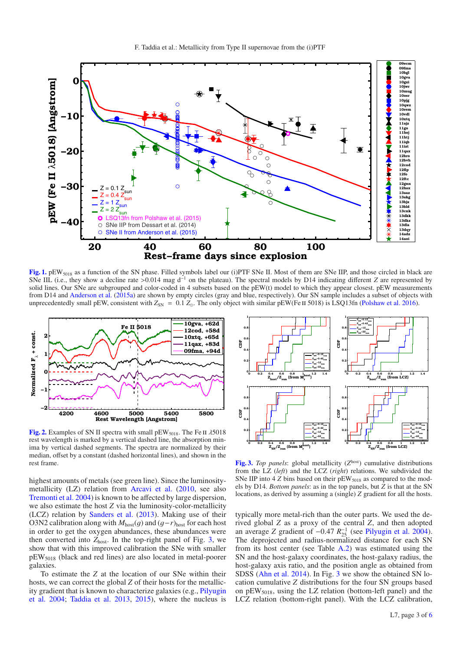

<span id="page-3-0"></span>[Fig. 1.](http://dexter.edpsciences.org/applet.php?DOI=10.1051/0004-6361/201527983&pdf_id=1) pEW<sub>5018</sub> as a function of the SN phase. Filled symbols label our (i)PTF SNe II. Most of them are SNe IIP, and those circled in black are SNe IIL (i.e., they show a decline rate >0.014 mag d<sup>-1</sup> on the plateau). The spectral models by D14 indicating different *Z* are represented by solid lines. Our SNe are subgrouped and color-coded in 4 subsets based on the pEW(t) model to which they appear closest. pEW measurements from D14 and [Anderson et al.](#page-4-7) [\(2015a](#page-4-7)) are shown by empty circles (gray and blue, respectively). Our SN sample includes a subset of objects with unprecedentedly small pEW, consistent with  $Z_{SN} = 0.1 Z_{\odot}$ . The only object with similar pEW(Fe II 5018) is LSQ13fn [\(Polshaw et al. 2016\)](#page-4-8).

<span id="page-3-1"></span>

**[Fig. 2.](http://dexter.edpsciences.org/applet.php?DOI=10.1051/0004-6361/201527983&pdf_id=2)** Examples of SN II spectra with small pEW<sub>5018</sub>. The Fe II λ5018 rest wavelength is marked by a vertical dashed line, the absorption minima by vertical dashed segments. The spectra are normalized by their median, offset by a constant (dashed horizontal lines), and shown in the rest frame.

highest amounts of metals (see green line). Since the luminositymetallicity (LZ) relation from [Arcavi et al.](#page-4-9) [\(2010](#page-4-9), see also [Tremonti et al. 2004\)](#page-4-15) is known to be affected by large dispersion, we also estimate the host *Z* via the luminosity-color-metallicity (LCZ) relation by [Sanders et al.](#page-4-16) [\(2013\)](#page-4-16). Making use of their O3N2 calibration along with  $M_{\text{host}}(g)$  and  $(g-r)_{\text{host}}$  for each host in order to get the oxygen abundances, these abundances were then converted into  $Z_{\text{host}}$ . In the top-right panel of Fig. [3,](#page-3-2) we show that with this improved calibration the SNe with smaller pEW5018 (black and red lines) are also located in metal-poorer galaxies.

To estimate the *Z* at the location of our SNe within their hosts, we can correct the global *Z* of their hosts for the metallicity gr[adient that is known to characterize galaxies \(e.g.,](#page-4-17) Pilyugin et al. [2004;](#page-4-17) [Taddia et al. 2013](#page-4-18), [2015](#page-4-19)), where the nucleus is

<span id="page-3-2"></span>

[Fig. 3.](http://dexter.edpsciences.org/applet.php?DOI=10.1051/0004-6361/201527983&pdf_id=3) *Top panels*: global metallicity (*Zhost*) cumulative distributions from the LZ (*left*) and the LCZ (*right*) relations. We subdivided the SNe IIP into  $4 Z$  bins based on their  $pEW<sub>5018</sub>$  as compared to the models by D14. *Bottom panels*: as in the top panels, but *Z* is that at the SN locations, as derived by assuming a (single) *Z* gradient for all the hosts.

typically more metal-rich than the outer parts. We used the derived global *Z* as a proxy of the central *Z*, and then adopted an average *Z* gradient of  $-0.47 R_{25}^{-1}$  (see [Pilyugin et al. 2004\)](#page-4-17).<br>The deprojected and radius-normalized distance for each SN The deprojected and radius-normalized distance for each SN from its host center (see Table [A.2\)](#page-6-1) was estimated using the SN and the host-galaxy coordinates, the host-galaxy radius, the host-galaxy axis ratio, and the position angle as obtained from SDSS [\(Ahn et al. 2014\)](#page-4-12). In Fig. [3](#page-3-2) we show the obtained SN location cumulative *Z* distributions for the four SN groups based on  $pEW<sub>5018</sub>$ , using the LZ relation (bottom-left panel) and the LCZ relation (bottom-right panel). With the LCZ calibration,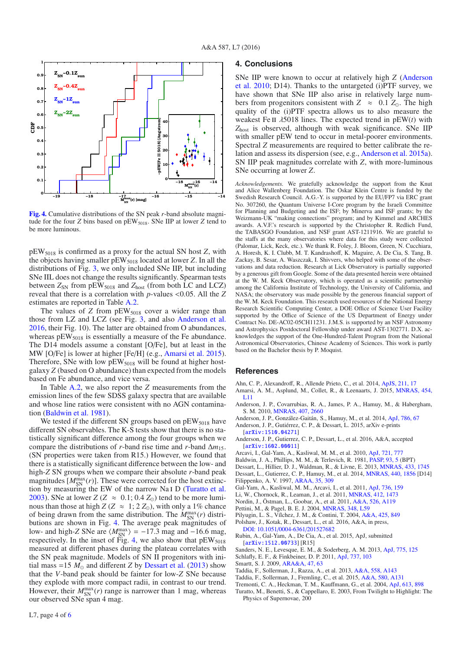<span id="page-4-24"></span>

**[Fig. 4.](http://dexter.edpsciences.org/applet.php?DOI=10.1051/0004-6361/201527983&pdf_id=4)** Cumulative distributions of the SN peak *r*-band absolute magnitude for the four *Z* bins based on pEW<sub>5018</sub>. SNe IIP at lower *Z* tend to be more luminous.

pEW5018 is confirmed as a proxy for the actual SN host *Z*, with the objects having smaller pEW5018 located at lower *Z*. In all the distributions of Fig. [3,](#page-3-2) we only included SNe IIP, but including SNe IIL does not change the results significantly. Spearman tests between  $Z_{SN}$  from  $pEW_{5018}$  and  $Z_{host}$  (from both LC and LCZ) reveal that there is a correlation with *<sup>p</sup>*-values <0.05. All the *<sup>Z</sup>* estimates are reported in Table [A.2.](#page-6-1)

The values of *Z* from pEW<sub>5018</sub> cover a wider range than those from LZ and LCZ (see Fig. [3,](#page-3-2) and also [Anderson et al.](#page-4-20) [2016,](#page-4-20) their Fig. 10). The latter are obtained from O abundances, whereas  $pEW<sub>5018</sub>$  is essentially a measure of the Fe abundance. The D14 models assume a constant [O/Fe], but at least in the MW [O/Fe] is lower at higher [Fe/H] (e.g., [Amarsi et al. 2015\)](#page-4-21). Therefore, SNe with low  $pEW<sub>5018</sub>$  will be found at higher hostgalaxy *Z* (based on O abundance) than expected from the models based on Fe abundance, and vice versa.

In Table [A.2,](#page-6-1) we also report the *Z* measurements from the emission lines of the few SDSS galaxy spectra that are available and whose line ratios were consistent with no AGN contamination [\(Baldwin et al. 1981](#page-4-22)).

We tested if the different SN groups based on  $pEW<sub>5018</sub>$  have different SN observables. The K-S tests show that there is no statistically significant difference among the four groups when we compare the distributions of *r*-band rise time and *r*-band  $\Delta m_{15}$ . (SN properties were taken from R15.) However, we found that there is a statistically significant difference between the low- and high-*Z* SN groups when we compare their absolute *r*-band peak magnitudes  $[M_{SN}^{max}(r)]$ . These were corrected for the host extinc-tion by measuring the EW of the narrow Na<sub>I</sub> D [\(Turatto et al.](#page-4-23) [2003\)](#page-4-23). SNe at lower *Z* (*Z*  $\approx$  0.1; 0.4 *Z*<sub>0</sub>) tend to be more luminous than those at high  $Z$  ( $Z \approx 1$ ;  $2 Z_{\odot}$ ), with only a 1% chance of being drawn from the same distribution. The  $M_{SN}^{\text{max}}(r)$  distributions are shown in Fig. [4.](#page-4-24) The average peak magnitudes of low- and high-*Z* SNe are  $\langle M_{\rm SN}^{\rm max} \rangle = -17.3$  mag and  $-16.6$  mag, respectively. In the inset of Fig. [4,](#page-4-24) we also show that pEW<sub>5018</sub> measured at different phases during the plateau correlates with the SN peak magnitude. Models of SN II progenitors with initial mass =15  $M_{\odot}$  and different *Z* by [Dessart et al.](#page-4-6) [\(2013\)](#page-4-6) show that the *V*-band peak should be fainter for low-*Z* SNe because they explode with more compact radii, in contrast to our trend. However, their  $M_{\text{SN}}^{\text{max}}(r)$  range is narrower than 1 mag, whereas our observed SNe span 4 mag.

#### <span id="page-4-11"></span>**4. Conclusions**

SNe [IIP were known to occur at relatively high](#page-4-25) *Z* (Anderson et al. [2010](#page-4-25); D14). Thanks to the untargeted (i)PTF survey, we have shown that SNe IIP also arise in relatively large numbers from progenitors consistent with  $Z \approx 0.1 Z_{\odot}$ . The high quality of the (i)PTF spectra allows us to also measure the weakest Fe II  $\lambda$ 5018 lines. The expected trend in pEW(*t*) with *Z*host is observed, although with weak significance. SNe IIP with smaller pEW tend to occur in metal-poorer environments. Spectral *Z* measurements are required to better calibrate the relation and assess its dispersion (see, e.g., [Anderson et al. 2015a\)](#page-4-7). SN IIP peak magnitudes correlate with *Z*, with more-luminous SNe occurring at lower *Z*.

*Acknowledgements.* We gratefully acknowledge the support from the Knut and Alice Wallenberg Foundation. The Oskar Klein Centre is funded by the Swedish Research Council. A.G.-Y. is supported by the EU/FP7 via ERC grant No. 307260, the Quantum Universe I-Core program by the Israeli Committee for Planning and Budgeting and the ISF; by Minerva and ISF grants; by the Weizmann-UK "making connections" program; and by Kimmel and ARCHES awards. A.V.F.'s research is supported by the Christopher R. Redlich Fund, the TABASGO Foundation, and NSF grant AST-1211916. We are grateful to the staffs at the many observatories where data for this study were collected (Palomar, Lick, Keck, etc.). We thank R. Foley, J. Bloom, Green, N. Cucchiara, A. Horesh, K. I. Clubb, M. T. Kandrashoff, K. Maguire, A. De Cia, S. Tang, B. Zackay, B. Sesar, A. Waszczak, I. Shivvers, who helped with some of the observations and data reduction. Research at Lick Observatory is partially supported by a generous gift from Google. Some of the data presented herein were obtained at the W. M. Keck Observatory, which is operated as a scientific partnership among the California Institute of Technology, the University of California, and NASA; the observatory was made possible by the generous financial support of the W. M. Keck Foundation. This research used resources of the National Energy Research Scientific Computing Center, a DOE Office of Science User Facility supported by the Office of Science of the US Department of Energy under Contract No. DE-AC02-05CH11231. J.M.S. is supported by an NSF Astronomy and Astrophysics Postdoctoral Fellowship under award AST-1302771. D.X. acknowledges the support of the One-Hundred-Talent Program from the National Astronomical Observatories, Chinese Academy of Sciences. This work is partly based on the Bachelor thesis by P. Moquist.

#### **References**

- Ahn, C. P., Alexandroff, R., Allende Prieto, C., et al. 2014, [ApJS, 211, 17](http://linker.aanda.org/10.1051/0004-6361/201527983/1)
- <span id="page-4-21"></span><span id="page-4-12"></span>Amarsi, A. M., Asplund, M., Collet, R., & Leenaarts, J. 2015, [MNRAS, 454,](http://linker.aanda.org/10.1051/0004-6361/201527983/2) [L11](http://linker.aanda.org/10.1051/0004-6361/201527983/2)
- <span id="page-4-25"></span>Anderson, J. P., Covarrubias, R. A., James, P. A., Hamuy, M., & Habergham, S. M. 2010, [MNRAS, 407, 2660](http://linker.aanda.org/10.1051/0004-6361/201527983/3)
- <span id="page-4-7"></span><span id="page-4-3"></span>Anderson, J. P., González-Gaitán, S., Hamuy, M., et al. 2014, [ApJ, 786, 67](http://linker.aanda.org/10.1051/0004-6361/201527983/4) Anderson, J. P., Gutiérrez, C. P., & Dessart, L. 2015, arXiv e-prints
- [[arXiv:1510.04271](http://arxiv.org/abs/1510.04271)]
- <span id="page-4-20"></span>Anderson, J. P., Gutierrez, C. P., Dessart, L., et al. 2016, A&A, accepted [[arXiv:1602.00011](http://arxiv.org/abs/1602.00011)]
- Arcavi, I., Gal-Yam, A., Kasliwal, M. M., et al. 2010, [ApJ, 721, 777](http://linker.aanda.org/10.1051/0004-6361/201527983/7)
- <span id="page-4-22"></span><span id="page-4-9"></span><span id="page-4-6"></span>Baldwin, J. A., Phillips, M. M., & Terlevich, R. 1981, [PASP, 93, 5](http://linker.aanda.org/10.1051/0004-6361/201527983/8) (BPT)
- Dessart, L., Hillier, D. J., Waldman, R., & Livne, E. 2013, [MNRAS, 433, 1745](http://linker.aanda.org/10.1051/0004-6361/201527983/9) Dessart, L., Gutierrez, C. P., Hamuy, M., et al. 2014, [MNRAS, 440, 1856](http://linker.aanda.org/10.1051/0004-6361/201527983/10) [D14]
- <span id="page-4-5"></span>Filippenko, A. V. 1997, [ARAA, 35, 309](http://linker.aanda.org/10.1051/0004-6361/201527983/11)
- Gal-Yam, A., Kasliwal, M. M., Arcavi, I., et al. 2011, [ApJ, 736, 159](http://linker.aanda.org/10.1051/0004-6361/201527983/12)
- <span id="page-4-13"></span><span id="page-4-10"></span><span id="page-4-1"></span><span id="page-4-0"></span>Li, W., Chornock, R., Leaman, J., et al. 2011, [MNRAS, 412, 1473](http://linker.aanda.org/10.1051/0004-6361/201527983/13)
- Nordin, J., Östman, L., Goobar, A., et al. 2011, [A&A, 526, A119](http://linker.aanda.org/10.1051/0004-6361/201527983/14)
- Pettini, M., & Pagel, B. E. J. 2004, **MNRAS**, 348, L59
- <span id="page-4-26"></span><span id="page-4-17"></span>Pilyugin, L. S., Vílchez, J. M., & Contini, T. 2004, [A&A, 425, 849](http://linker.aanda.org/10.1051/0004-6361/201527983/16) Polshaw, J., Kotak, R., Dessart, L., et al. 2016, A&A, in press,
- <span id="page-4-8"></span><span id="page-4-2"></span>[DOI: 10.1051](http://dx.doi.org/10.1051/0004-6361/201527682)/0004-6361/201527682 Rubin, A., Gal-Yam, A., De Cia, A., et al. 2015, ApJ, submitted
- [[arXiv:1512.00733](http://arxiv.org/abs/1512.00733)] [R15]
- <span id="page-4-16"></span>Sanders, N. E., Levesque, E. M., & Soderberg, A. M. 2013, [ApJ, 775, 125](http://linker.aanda.org/10.1051/0004-6361/201527983/19) Schlafly, E. F., & Finkbeiner, D. P. 2011, [ApJ, 737, 103](http://linker.aanda.org/10.1051/0004-6361/201527983/20)
- <span id="page-4-14"></span><span id="page-4-4"></span>Smartt, S. J. 2009, [ARA&A, 47, 63](http://linker.aanda.org/10.1051/0004-6361/201527983/21)
- <span id="page-4-18"></span>Taddia, F., Sollerman, J., Razza, A., et al. 2013, [A&A, 558, A143](http://linker.aanda.org/10.1051/0004-6361/201527983/22)
- <span id="page-4-19"></span>Taddia, F., Sollerman, J., Fremling, C., et al. 2015, [A&A, 580, A131](http://linker.aanda.org/10.1051/0004-6361/201527983/23)
- <span id="page-4-23"></span><span id="page-4-15"></span>Tremonti, C. A., Heckman, T. M., Kauffmann, G., et al. 2004, [ApJ, 613, 898](http://linker.aanda.org/10.1051/0004-6361/201527983/24) Turatto, M., Benetti, S., & Cappellaro, E. 2003, From Twilight to Highlight: The Physics of Supernovae, 200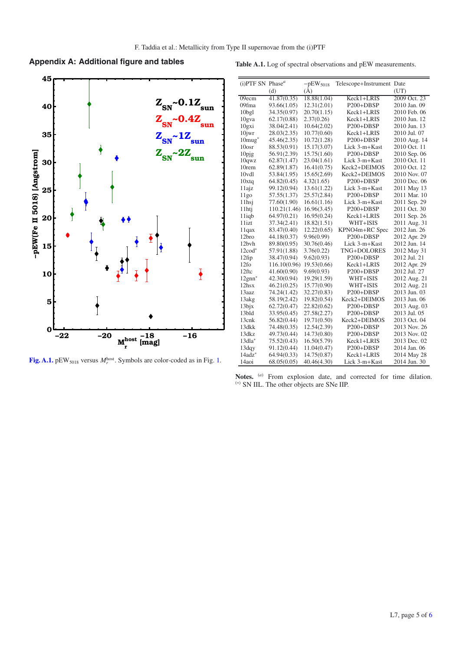# **Appendix A: Additional figure and tables**



<span id="page-5-1"></span>**[Fig. A.1.](http://dexter.edpsciences.org/applet.php?DOI=10.1051/0004-6361/201527983&pdf_id=5)**  $pEW_{5018}$  versus  $M_r^{\text{host}}$ . Symbols are color-coded as in Fig. [1.](#page-3-0)

<span id="page-5-0"></span>

|  |  |  |  |  |  | Table A.1. Log of spectral observations and pEW measurements. |
|--|--|--|--|--|--|---------------------------------------------------------------|
|--|--|--|--|--|--|---------------------------------------------------------------|

| $(i)$ PTF SN Phase <sup>a</sup> |                          | $-pEW$ <sub>5018</sub> | Telescope+Instrument Date |              |
|---------------------------------|--------------------------|------------------------|---------------------------|--------------|
|                                 | (d)                      | (A)                    |                           | (UT)         |
| $\overline{0}9$ ecm             | $41.\overline{87(0.35)}$ | 18.88(1.04)            | Keck1+LRIS                | 2009 Oct. 23 |
| 09fma                           | 93.66(1.05)              | 12.31(2.01)            | $P200+DBSP$               | 2010 Jan. 09 |
| 10bgl                           | 34.35(0.97)              | 20.70(1.15)            | Keck1+LRIS                | 2010 Feb. 06 |
| 10gva                           | 62.17(0.88)              | 2.37(0.26)             | Keck1+LRIS                | 2010 Jun. 12 |
| 10gxi                           | 38.04(2.41)              | 10.64(2.02)            | $P200+DBSP$               | 2010 Jun. 13 |
| $10$ jwr                        | 28.03(2.35)              | 10.77(0.60)            | Keck1+LRIS                | 2010 Jul. 07 |
| $10 \text{mug}^*$               | 45.46(2.35)              | 10.72(1.28)            | P <sub>200</sub> +DBSP    | 2010 Aug. 14 |
| 10osr                           | 88.53(0.91)              | 15.17(3.07)            | Lick 3-m+Kast             | 2010 Oct. 11 |
| $10$ pjg                        | 56.91(2.39)              | 15.75(1.60)            | P <sub>200</sub> +DBSP    | 2010 Sep. 06 |
| 10qwz                           | 62.87(1.47)              | 23.04(1.61)            | Lick 3-m+Kast             | 2010 Oct. 11 |
| 10 <sub>rem</sub>               | 62.89(1.87)              | 16.41(0.75)            | Keck2+DEIMOS              | 2010 Oct. 12 |
| 10vdl                           | 53.84(1.95)              | 15.65(2.69)            | Keck2+DEIMOS              | 2010 Nov. 07 |
| 10xtq                           | 64.82(0.45)              | 4.32(1.65)             | P200+DBSP                 | 2010 Dec. 06 |
| 11ajz                           | 99.12(0.94)              | 13.61(1.22)            | Lick 3-m+Kast             | 2011 May 13  |
| 11g0                            | 57.55(1.37)              | 25.57(2.84)            | P200+DBSP                 | 2011 Mar. 10 |
| 11hsi                           | 77.60(1.90)              | 16.61(1.16)            | Lick 3-m+Kast             | 2011 Sep. 29 |
| 11htj                           | 110.21(1.46)             | 16.96(3.45)            | P200+DBSP                 | 2011 Oct. 30 |
| $11$ iqb                        | 64.97(0.21)              | 16.95(0.24)            | Keck1+LRIS                | 2011 Sep. 26 |
| 11izt                           | 37.34(2.41)              | 18.82(1.51)            | WHT+ISIS                  | 2011 Aug. 31 |
| 11qax                           | 83.47(0.40)              | 12.22(0.65)            | KPNO4m+RC Spec            | 2012 Jan. 26 |
| 12bro                           | 44.18(0.37)              | 9.96(0.99)             | P <sub>200</sub> +DBSP    | 2012 Apr. 29 |
| 12bvh                           | 89.80(0.95)              | 30.76(0.46)            | Lick 3-m+Kast             | 2012 Jun. 14 |
| 12cod*                          | 57.91(1.88)              | 3.76(0.22)             | TNG+DOLORES               | 2012 May 31  |
| $12$ fip                        | 38.47(0.94)              | 9.62(0.93)             | P <sub>200</sub> +DBSP    | 2012 Jul. 21 |
| 12f <sub>O</sub>                | 116.10(0.96)             | 19.53(0.66)            | Keck1+LRIS                | 2012 Apr. 29 |
| 12ftc                           | 41.60(0.90)              | 9.69(0.93)             | $P200+DBSP$               | 2012 Jul. 27 |
| $12gm*$                         | 42.30(0.94)              | 19.29(1.59)            | WHT+ISIS                  | 2012 Aug. 21 |
| 12hsx                           | 46.21(0.25)              | 15.77(0.90)            | WHT+ISIS                  | 2012 Aug. 21 |
| 13aaz                           | 74.24(1.42)              | 32.27(0.83)            | P200+DBSP                 | 2013 Jun. 03 |
| 13akg                           | 58.19(2.42)              | 19.82(0.54)            | Keck2+DEIMOS              | 2013 Jun. 06 |
| $13$ bjx                        | 62.72(0.47)              | 22.82(0.62)            | P200+DBSP                 | 2013 Aug. 03 |
| 13bld                           | 33.95(0.45)              | 27.58(2.27)            | P200+DBSP                 | 2013 Jul. 05 |
| 13cnk                           | 56.82(0.44)              | 19.71(0.50)            | Keck2+DEIMOS              | 2013 Oct. 04 |
| 13dkk                           | 74.48(0.35)              | 12.54(2.39)            | P200+DBSP                 | 2013 Nov. 26 |
| 13dkz                           | 49.73(0.44)              | 14.73(0.80)            | P200+DBSP                 | 2013 Nov. 02 |
| 13dla*                          | 75.52(0.43)              | 16.50(5.79)            | Keck1+LRIS                | 2013 Dec. 02 |
| 13dqy                           | 91.12(0.44)              | 11.04(0.47)            | P200+DBSP                 | 2014 Jan. 06 |
| $14$ adz $*$                    | 64.94(0.33)              | 14.75(0.87)            | Keck1+LRIS                | 2014 May 28  |
| 14aoi                           | 68.05(0.05)              | 40.46(4.30)            | Lick 3-m+Kast             | 2014 Jun. 30 |

Notes. (*a*) From explosion date, and corrected for time dilation. (∗) SN IIL. The other objects are SNe IIP.